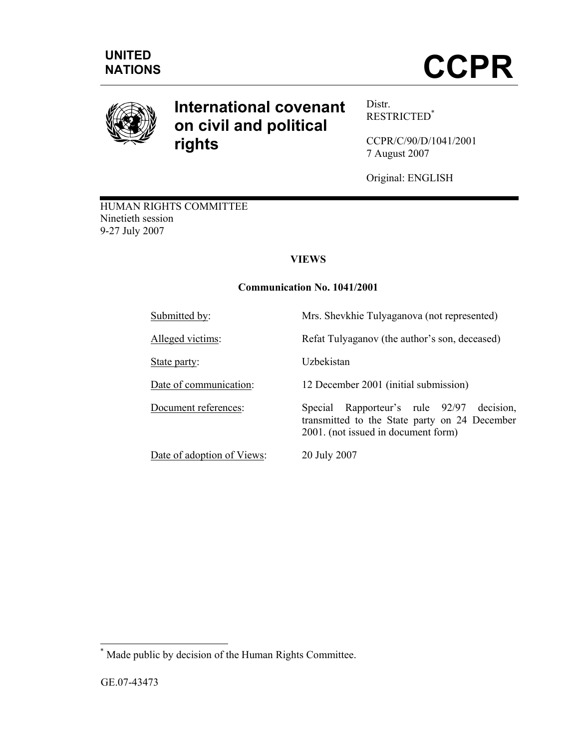

# **International covenant on civil and political rights**

Distr. RESTRICTED\*

CCPR/C/90/D/1041/2001 7 August 2007

Original: ENGLISH

HUMAN RIGHTS COMMITTEE Ninetieth session 9-27 July 2007

# **VIEWS**

# **Communication No. 1041/2001**

| Submitted by:              | Mrs. Shevkhie Tulyaganova (not represented)                                                                                             |
|----------------------------|-----------------------------------------------------------------------------------------------------------------------------------------|
| Alleged victims:           | Refat Tulyaganov (the author's son, deceased)                                                                                           |
| State party:               | Uzbekistan                                                                                                                              |
| Date of communication:     | 12 December 2001 (initial submission)                                                                                                   |
| Document references:       | Rapporteur's rule 92/97<br>Special<br>decision,<br>transmitted to the State party on 24 December<br>2001. (not issued in document form) |
| Date of adoption of Views: | 20 July 2007                                                                                                                            |

 \* Made public by decision of the Human Rights Committee.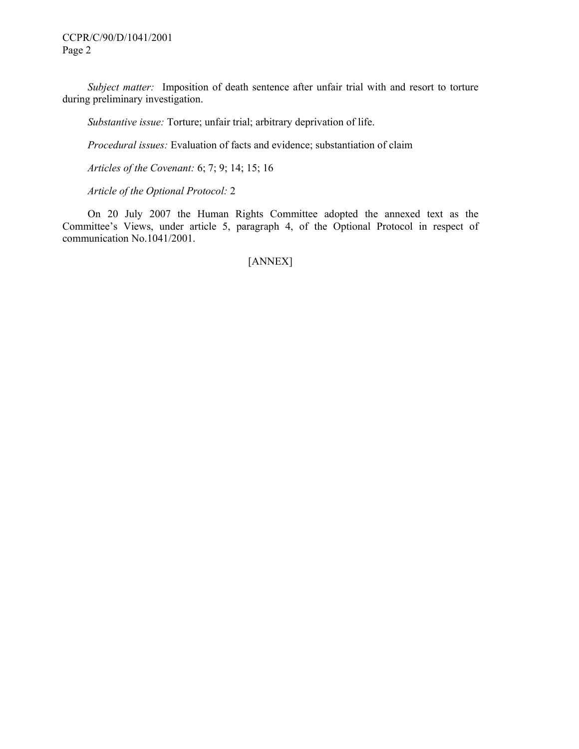*Subject matter:* Imposition of death sentence after unfair trial with and resort to torture during preliminary investigation.

 *Substantive issue:* Torture; unfair trial; arbitrary deprivation of life.

 *Procedural issues:* Evaluation of facts and evidence; substantiation of claim

 *Articles of the Covenant:* 6; 7; 9; 14; 15; 16

 *Article of the Optional Protocol:* 2

 On 20 July 2007 the Human Rights Committee adopted the annexed text as the Committee's Views, under article 5, paragraph 4, of the Optional Protocol in respect of communication No.1041/2001.

[ANNEX]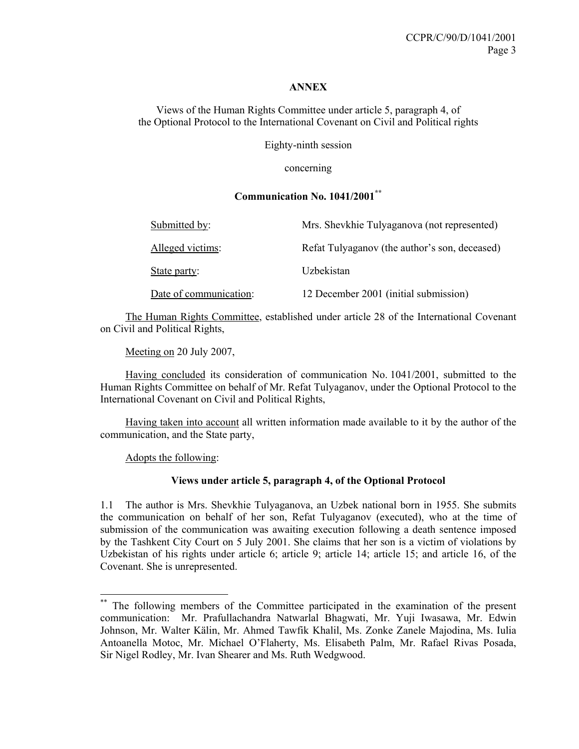#### **ANNEX**

Views of the Human Rights Committee under article 5, paragraph 4, of the Optional Protocol to the International Covenant on Civil and Political rights

Eighty-ninth session

concerning

#### **Communication No. 1041/2001\*\***

| Submitted by:          | Mrs. Shevkhie Tulyaganova (not represented)   |
|------------------------|-----------------------------------------------|
| Alleged victims:       | Refat Tulyaganov (the author's son, deceased) |
| State party:           | Uzbekistan                                    |
| Date of communication: | 12 December 2001 (initial submission)         |

 The Human Rights Committee, established under article 28 of the International Covenant on Civil and Political Rights,

Meeting on 20 July 2007,

 Having concluded its consideration of communication No. 1041/2001, submitted to the Human Rights Committee on behalf of Mr. Refat Tulyaganov, under the Optional Protocol to the International Covenant on Civil and Political Rights,

 Having taken into account all written information made available to it by the author of the communication, and the State party,

Adopts the following:

 $\overline{a}$ 

# **Views under article 5, paragraph 4, of the Optional Protocol**

1.1 The author is Mrs. Shevkhie Tulyaganova, an Uzbek national born in 1955. She submits the communication on behalf of her son, Refat Tulyaganov (executed), who at the time of submission of the communication was awaiting execution following a death sentence imposed by the Tashkent City Court on 5 July 2001. She claims that her son is a victim of violations by Uzbekistan of his rights under article 6; article 9; article 14; article 15; and article 16, of the Covenant. She is unrepresented.

<sup>\*\*</sup> The following members of the Committee participated in the examination of the present communication: Mr. Prafullachandra Natwarlal Bhagwati, Mr. Yuji Iwasawa, Mr. Edwin Johnson, Mr. Walter Kälin, Mr. Ahmed Tawfik Khalil, Ms. Zonke Zanele Majodina, Ms. Iulia Antoanella Motoc, Mr. Michael O'Flaherty, Ms. Elisabeth Palm, Mr. Rafael Rivas Posada, Sir Nigel Rodley, Mr. Ivan Shearer and Ms. Ruth Wedgwood.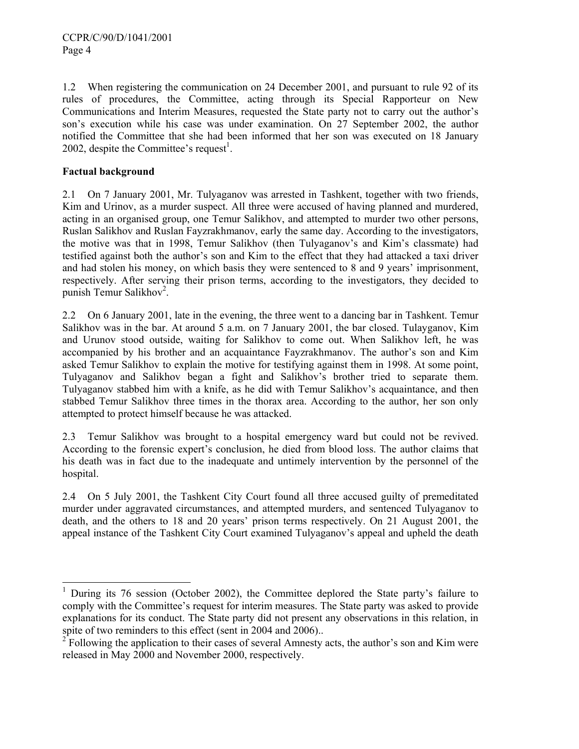1.2 When registering the communication on 24 December 2001, and pursuant to rule 92 of its rules of procedures, the Committee, acting through its Special Rapporteur on New Communications and Interim Measures, requested the State party not to carry out the author's son's execution while his case was under examination. On 27 September 2002, the author notified the Committee that she had been informed that her son was executed on 18 January 2002, despite the Committee's request<sup>1</sup>.

# **Factual background**

-

2.1 On 7 January 2001, Mr. Tulyaganov was arrested in Tashkent, together with two friends, Kim and Urinov, as a murder suspect. All three were accused of having planned and murdered, acting in an organised group, one Temur Salikhov, and attempted to murder two other persons, Ruslan Salikhov and Ruslan Fayzrakhmanov, early the same day. According to the investigators, the motive was that in 1998, Temur Salikhov (then Tulyaganov's and Kim's classmate) had testified against both the author's son and Kim to the effect that they had attacked a taxi driver and had stolen his money, on which basis they were sentenced to 8 and 9 years' imprisonment, respectively. After serving their prison terms, according to the investigators, they decided to punish Temur Salikhov<sup>2</sup>.

2.2 On 6 January 2001, late in the evening, the three went to a dancing bar in Tashkent. Temur Salikhov was in the bar. At around 5 a.m. on 7 January 2001, the bar closed. Tulayganov, Kim and Urunov stood outside, waiting for Salikhov to come out. When Salikhov left, he was accompanied by his brother and an acquaintance Fayzrakhmanov. The author's son and Kim asked Temur Salikhov to explain the motive for testifying against them in 1998. At some point, Tulyaganov and Salikhov began a fight and Salikhov's brother tried to separate them. Tulyaganov stabbed him with a knife, as he did with Temur Salikhov's acquaintance, and then stabbed Temur Salikhov three times in the thorax area. According to the author, her son only attempted to protect himself because he was attacked.

2.3 Temur Salikhov was brought to a hospital emergency ward but could not be revived. According to the forensic expert's conclusion, he died from blood loss. The author claims that his death was in fact due to the inadequate and untimely intervention by the personnel of the hospital.

2.4 On 5 July 2001, the Tashkent City Court found all three accused guilty of premeditated murder under aggravated circumstances, and attempted murders, and sentenced Tulyaganov to death, and the others to 18 and 20 years' prison terms respectively. On 21 August 2001, the appeal instance of the Tashkent City Court examined Tulyaganov's appeal and upheld the death

<sup>&</sup>lt;sup>1</sup> During its 76 session (October 2002), the Committee deplored the State party's failure to comply with the Committee's request for interim measures. The State party was asked to provide explanations for its conduct. The State party did not present any observations in this relation, in spite of two reminders to this effect (sent in 2004 and 2006)..

<sup>2</sup> Following the application to their cases of several Amnesty acts, the author's son and Kim were released in May 2000 and November 2000, respectively.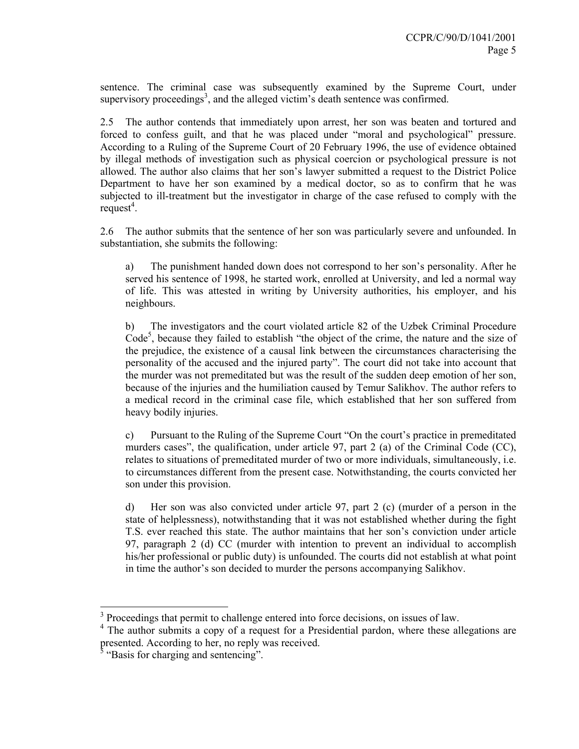sentence. The criminal case was subsequently examined by the Supreme Court, under supervisory proceedings<sup>3</sup>, and the alleged victim's death sentence was confirmed.

2.5 The author contends that immediately upon arrest, her son was beaten and tortured and forced to confess guilt, and that he was placed under "moral and psychological" pressure. According to a Ruling of the Supreme Court of 20 February 1996, the use of evidence obtained by illegal methods of investigation such as physical coercion or psychological pressure is not allowed. The author also claims that her son's lawyer submitted a request to the District Police Department to have her son examined by a medical doctor, so as to confirm that he was subjected to ill-treatment but the investigator in charge of the case refused to comply with the  $request<sup>4</sup>$ .

2.6 The author submits that the sentence of her son was particularly severe and unfounded. In substantiation, she submits the following:

a) The punishment handed down does not correspond to her son's personality. After he served his sentence of 1998, he started work, enrolled at University, and led a normal way of life. This was attested in writing by University authorities, his employer, and his neighbours.

b) The investigators and the court violated article 82 of the Uzbek Criminal Procedure Code<sup>5</sup>, because they failed to establish "the object of the crime, the nature and the size of the prejudice, the existence of a causal link between the circumstances characterising the personality of the accused and the injured party". The court did not take into account that the murder was not premeditated but was the result of the sudden deep emotion of her son, because of the injuries and the humiliation caused by Temur Salikhov. The author refers to a medical record in the criminal case file, which established that her son suffered from heavy bodily injuries.

c) Pursuant to the Ruling of the Supreme Court "On the court's practice in premeditated murders cases", the qualification, under article 97, part 2 (a) of the Criminal Code (CC), relates to situations of premeditated murder of two or more individuals, simultaneously, i.e. to circumstances different from the present case. Notwithstanding, the courts convicted her son under this provision.

d) Her son was also convicted under article 97, part 2 (c) (murder of a person in the state of helplessness), notwithstanding that it was not established whether during the fight T.S. ever reached this state. The author maintains that her son's conviction under article 97, paragraph 2 (d) CC (murder with intention to prevent an individual to accomplish his/her professional or public duty) is unfounded. The courts did not establish at what point in time the author's son decided to murder the persons accompanying Salikhov.

<sup>&</sup>lt;sup>3</sup> Proceedings that permit to challenge entered into force decisions, on issues of law.

<sup>&</sup>lt;sup>4</sup> The author submits a copy of a request for a Presidential pardon, where these allegations are presented. According to her, no reply was received.<br><sup>5</sup> "Basis for charging and sentencing".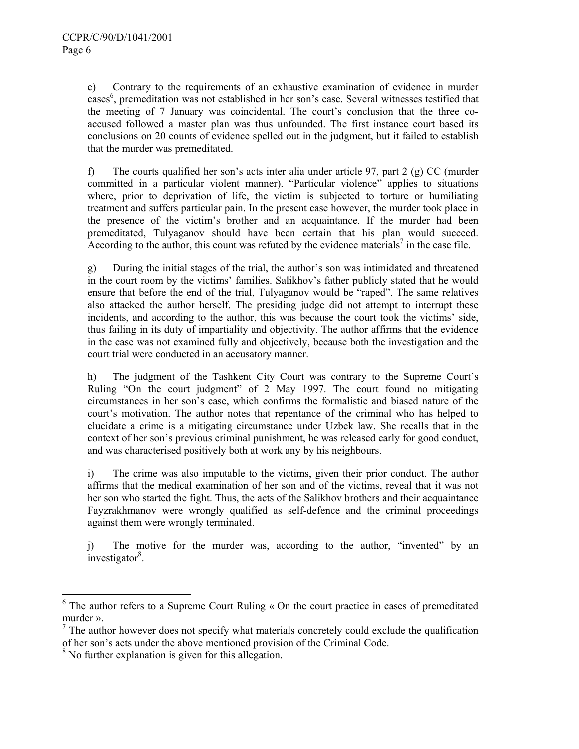e) Contrary to the requirements of an exhaustive examination of evidence in murder cases<sup>6</sup>, premeditation was not established in her son's case. Several witnesses testified that the meeting of 7 January was coincidental. The court's conclusion that the three coaccused followed a master plan was thus unfounded. The first instance court based its conclusions on 20 counts of evidence spelled out in the judgment, but it failed to establish that the murder was premeditated.

f) The courts qualified her son's acts inter alia under article 97, part 2 (g) CC (murder committed in a particular violent manner). "Particular violence" applies to situations where, prior to deprivation of life, the victim is subjected to torture or humiliating treatment and suffers particular pain. In the present case however, the murder took place in the presence of the victim's brother and an acquaintance. If the murder had been premeditated, Tulyaganov should have been certain that his plan would succeed. According to the author, this count was refuted by the evidence materials<sup>7</sup> in the case file.

g) During the initial stages of the trial, the author's son was intimidated and threatened in the court room by the victims' families. Salikhov's father publicly stated that he would ensure that before the end of the trial, Tulyaganov would be "raped". The same relatives also attacked the author herself. The presiding judge did not attempt to interrupt these incidents, and according to the author, this was because the court took the victims' side, thus failing in its duty of impartiality and objectivity. The author affirms that the evidence in the case was not examined fully and objectively, because both the investigation and the court trial were conducted in an accusatory manner.

h) The judgment of the Tashkent City Court was contrary to the Supreme Court's Ruling "On the court judgment" of 2 May 1997. The court found no mitigating circumstances in her son's case, which confirms the formalistic and biased nature of the court's motivation. The author notes that repentance of the criminal who has helped to elucidate a crime is a mitigating circumstance under Uzbek law. She recalls that in the context of her son's previous criminal punishment, he was released early for good conduct, and was characterised positively both at work any by his neighbours.

i) The crime was also imputable to the victims, given their prior conduct. The author affirms that the medical examination of her son and of the victims, reveal that it was not her son who started the fight. Thus, the acts of the Salikhov brothers and their acquaintance Fayzrakhmanov were wrongly qualified as self-defence and the criminal proceedings against them were wrongly terminated.

j) The motive for the murder was, according to the author, "invented" by an  $\mu$ investigator<sup>8</sup>.

-

<sup>&</sup>lt;sup>6</sup> The author refers to a Supreme Court Ruling « On the court practice in cases of premeditated murder ».

 $<sup>7</sup>$  The author however does not specify what materials concretely could exclude the qualification</sup> of her son's acts under the above mentioned provision of the Criminal Code.

<sup>&</sup>lt;sup>8</sup> No further explanation is given for this allegation.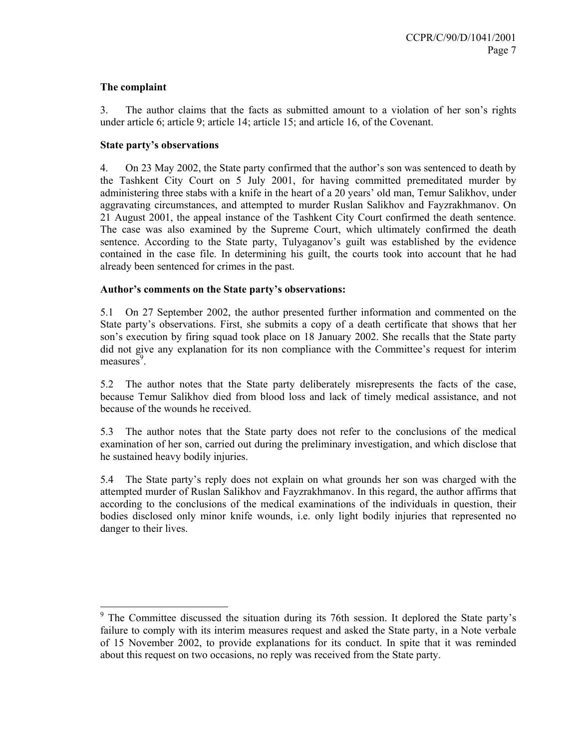#### **The complaint**

3. The author claims that the facts as submitted amount to a violation of her son's rights under article 6; article 9; article 14; article 15; and article 16, of the Covenant.

#### **State party's observations**

4. On 23 May 2002, the State party confirmed that the author's son was sentenced to death by the Tashkent City Court on 5 July 2001, for having committed premeditated murder by administering three stabs with a knife in the heart of a 20 years' old man, Temur Salikhov, under aggravating circumstances, and attempted to murder Ruslan Salikhov and Fayzrakhmanov. On 21 August 2001, the appeal instance of the Tashkent City Court confirmed the death sentence. The case was also examined by the Supreme Court, which ultimately confirmed the death sentence. According to the State party, Tulyaganov's guilt was established by the evidence contained in the case file. In determining his guilt, the courts took into account that he had already been sentenced for crimes in the past.

#### **Author's comments on the State party's observations:**

5.1 On 27 September 2002, the author presented further information and commented on the State party's observations. First, she submits a copy of a death certificate that shows that her son's execution by firing squad took place on 18 January 2002. She recalls that the State party did not give any explanation for its non compliance with the Committee's request for interim measures<sup>9</sup>.

5.2 The author notes that the State party deliberately misrepresents the facts of the case, because Temur Salikhov died from blood loss and lack of timely medical assistance, and not because of the wounds he received.

5.3 The author notes that the State party does not refer to the conclusions of the medical examination of her son, carried out during the preliminary investigation, and which disclose that he sustained heavy bodily injuries.

5.4 The State party's reply does not explain on what grounds her son was charged with the attempted murder of Ruslan Salikhov and Fayzrakhmanov. In this regard, the author affirms that according to the conclusions of the medical examinations of the individuals in question, their bodies disclosed only minor knife wounds, i.e. only light bodily injuries that represented no danger to their lives.

 $9$  The Committee discussed the situation during its 76th session. It deplored the State party's failure to comply with its interim measures request and asked the State party, in a Note verbale of 15 November 2002, to provide explanations for its conduct. In spite that it was reminded about this request on two occasions, no reply was received from the State party.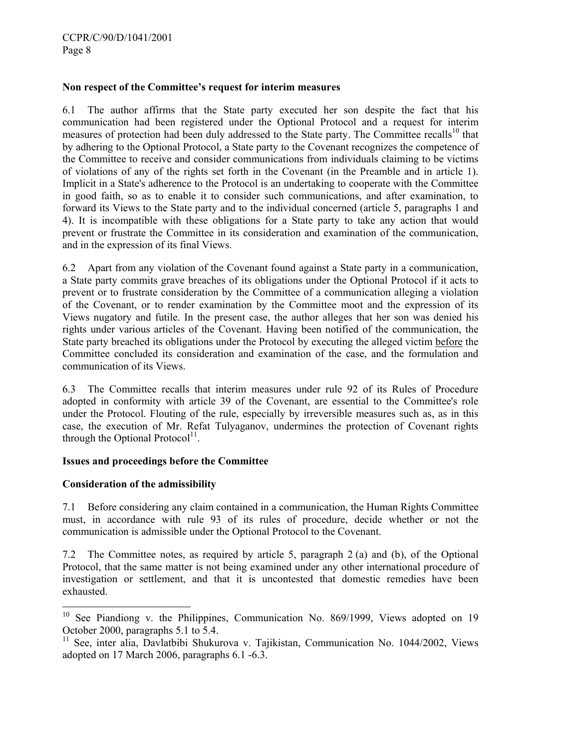#### **Non respect of the Committee's request for interim measures**

6.1 The author affirms that the State party executed her son despite the fact that his communication had been registered under the Optional Protocol and a request for interim measures of protection had been duly addressed to the State party. The Committee recalls<sup>10</sup> that by adhering to the Optional Protocol, a State party to the Covenant recognizes the competence of the Committee to receive and consider communications from individuals claiming to be victims of violations of any of the rights set forth in the Covenant (in the Preamble and in article 1). Implicit in a State's adherence to the Protocol is an undertaking to cooperate with the Committee in good faith, so as to enable it to consider such communications, and after examination, to forward its Views to the State party and to the individual concerned (article 5, paragraphs 1 and 4). It is incompatible with these obligations for a State party to take any action that would prevent or frustrate the Committee in its consideration and examination of the communication, and in the expression of its final Views.

6.2 Apart from any violation of the Covenant found against a State party in a communication, a State party commits grave breaches of its obligations under the Optional Protocol if it acts to prevent or to frustrate consideration by the Committee of a communication alleging a violation of the Covenant, or to render examination by the Committee moot and the expression of its Views nugatory and futile. In the present case, the author alleges that her son was denied his rights under various articles of the Covenant. Having been notified of the communication, the State party breached its obligations under the Protocol by executing the alleged victim before the Committee concluded its consideration and examination of the case, and the formulation and communication of its Views.

6.3 The Committee recalls that interim measures under rule 92 of its Rules of Procedure adopted in conformity with article 39 of the Covenant, are essential to the Committee's role under the Protocol. Flouting of the rule, especially by irreversible measures such as, as in this case, the execution of Mr. Refat Tulyaganov, undermines the protection of Covenant rights through the Optional Protocol $<sup>11</sup>$ .</sup>

#### **Issues and proceedings before the Committee**

# **Consideration of the admissibility**

 $\overline{a}$ 

7.1 Before considering any claim contained in a communication, the Human Rights Committee must, in accordance with rule 93 of its rules of procedure, decide whether or not the communication is admissible under the Optional Protocol to the Covenant.

7.2 The Committee notes, as required by article 5, paragraph 2 (a) and (b), of the Optional Protocol, that the same matter is not being examined under any other international procedure of investigation or settlement, and that it is uncontested that domestic remedies have been exhausted.

 $10$  See Piandiong v. the Philippines, Communication No. 869/1999, Views adopted on 19 October 2000, paragraphs 5.1 to 5.4.

<sup>&</sup>lt;sup>11</sup> See, inter alia, Davlatbibi Shukurova v. Tajikistan, Communication No. 1044/2002, Views adopted on 17 March 2006, paragraphs 6.1 -6.3.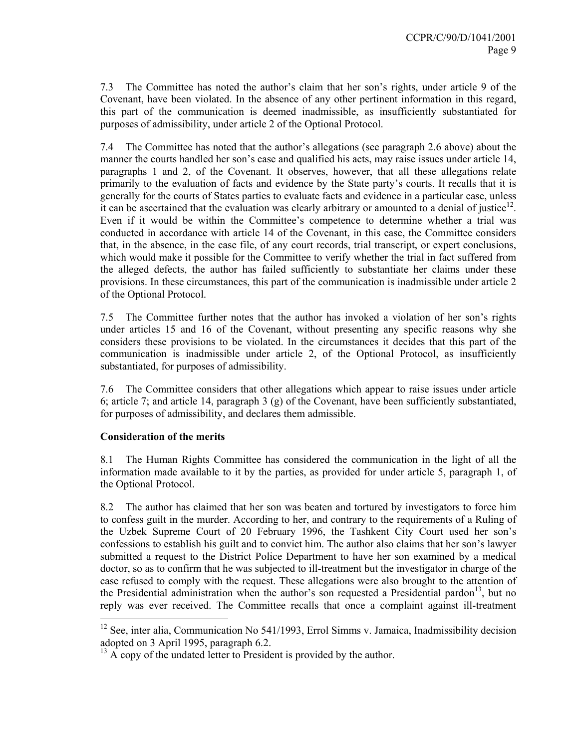7.3 The Committee has noted the author's claim that her son's rights, under article 9 of the Covenant, have been violated. In the absence of any other pertinent information in this regard, this part of the communication is deemed inadmissible, as insufficiently substantiated for purposes of admissibility, under article 2 of the Optional Protocol.

7.4 The Committee has noted that the author's allegations (see paragraph 2.6 above) about the manner the courts handled her son's case and qualified his acts, may raise issues under article 14, paragraphs 1 and 2, of the Covenant. It observes, however, that all these allegations relate primarily to the evaluation of facts and evidence by the State party's courts. It recalls that it is generally for the courts of States parties to evaluate facts and evidence in a particular case, unless it can be ascertained that the evaluation was clearly arbitrary or amounted to a denial of justice<sup>12</sup>. Even if it would be within the Committee's competence to determine whether a trial was conducted in accordance with article 14 of the Covenant, in this case, the Committee considers that, in the absence, in the case file, of any court records, trial transcript, or expert conclusions, which would make it possible for the Committee to verify whether the trial in fact suffered from the alleged defects, the author has failed sufficiently to substantiate her claims under these provisions. In these circumstances, this part of the communication is inadmissible under article 2 of the Optional Protocol.

7.5 The Committee further notes that the author has invoked a violation of her son's rights under articles 15 and 16 of the Covenant, without presenting any specific reasons why she considers these provisions to be violated. In the circumstances it decides that this part of the communication is inadmissible under article 2, of the Optional Protocol, as insufficiently substantiated, for purposes of admissibility.

7.6 The Committee considers that other allegations which appear to raise issues under article 6; article 7; and article 14, paragraph 3 (g) of the Covenant, have been sufficiently substantiated, for purposes of admissibility, and declares them admissible.

# **Consideration of the merits**

 $\overline{a}$ 

8.1 The Human Rights Committee has considered the communication in the light of all the information made available to it by the parties, as provided for under article 5, paragraph 1, of the Optional Protocol.

8.2 The author has claimed that her son was beaten and tortured by investigators to force him to confess guilt in the murder. According to her, and contrary to the requirements of a Ruling of the Uzbek Supreme Court of 20 February 1996, the Tashkent City Court used her son's confessions to establish his guilt and to convict him. The author also claims that her son's lawyer submitted a request to the District Police Department to have her son examined by a medical doctor, so as to confirm that he was subjected to ill-treatment but the investigator in charge of the case refused to comply with the request. These allegations were also brought to the attention of the Presidential administration when the author's son requested a Presidential pardon<sup>13</sup>, but no reply was ever received. The Committee recalls that once a complaint against ill-treatment

<sup>&</sup>lt;sup>12</sup> See, inter alia, Communication No 541/1993, Errol Simms v. Jamaica, Inadmissibility decision adopted on 3 April 1995, paragraph 6.2.

 $^{13}$  A copy of the undated letter to President is provided by the author.